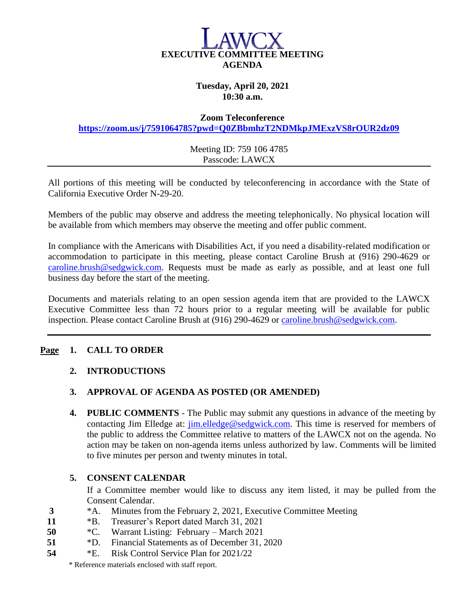

## **Tuesday, April 20, 2021 10:30 a.m.**

#### **Zoom Teleconference**

**<https://zoom.us/j/7591064785?pwd=Q0ZBbmhzT2NDMkpJMExzVS8rOUR2dz09>**

Meeting ID: 759 106 4785 Passcode: LAWCX

All portions of this meeting will be conducted by teleconferencing in accordance with the State of California Executive Order N-29-20.

Members of the public may observe and address the meeting telephonically. No physical location will be available from which members may observe the meeting and offer public comment.

In compliance with the Americans with Disabilities Act, if you need a disability-related modification or accommodation to participate in this meeting, please contact Caroline Brush at (916) 290-4629 or [caroline.brush@sedgwick.com.](mailto:caroline.brush@sedgwick.com) Requests must be made as early as possible, and at least one full business day before the start of the meeting.

Documents and materials relating to an open session agenda item that are provided to the LAWCX Executive Committee less than 72 hours prior to a regular meeting will be available for public inspection. Please contact Caroline Brush at (916) 290-4629 or [caroline.brush@sedgwick.com.](mailto:caroline.brush@sedgwick.com)

### **Page 1. CALL TO ORDER**

### **2. INTRODUCTIONS**

### **3. APPROVAL OF AGENDA AS POSTED (OR AMENDED)**

**4. PUBLIC COMMENTS** - The Public may submit any questions in advance of the meeting by contacting Jim Elledge at: [jim.elledge@sedgwick.com.](mailto:jim.elledge@sedgwick.com) This time is reserved for members of the public to address the Committee relative to matters of the LAWCX not on the agenda. No action may be taken on non-agenda items unless authorized by law. Comments will be limited to five minutes per person and twenty minutes in total.

### **5. CONSENT CALENDAR**

If a Committee member would like to discuss any item listed, it may be pulled from the Consent Calendar.

- **3** \*A. Minutes from the February 2, 2021, Executive Committee Meeting
- **11** \*B. Treasurer's Report dated March 31, 2021
- **50** \*C. Warrant Listing: February March 2021
- **51** \*D. Financial Statements as of December 31, 2020
- **54** \*E. Risk Control Service Plan for 2021/22

\* Reference materials enclosed with staff report.